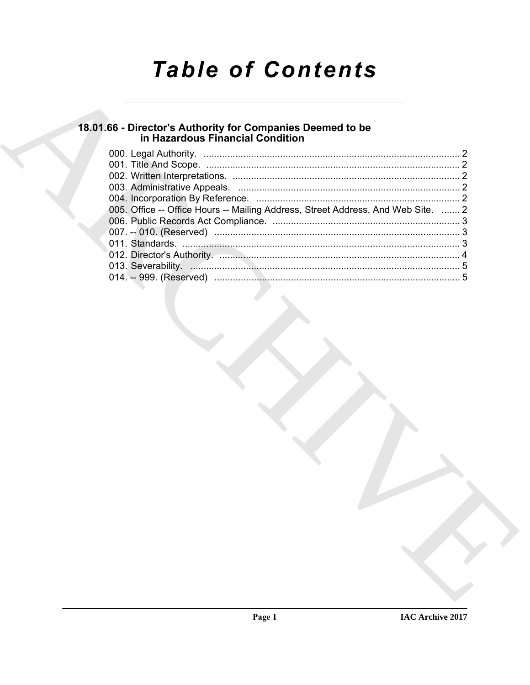# **Table of Contents**

# 18.01.66 - Director's Authority for Companies Deemed to be<br>in Hazardous Financial Condition

| 005. Office -- Office Hours -- Mailing Address, Street Address, And Web Site.  2 |  |
|----------------------------------------------------------------------------------|--|
|                                                                                  |  |
|                                                                                  |  |
|                                                                                  |  |
|                                                                                  |  |
|                                                                                  |  |
|                                                                                  |  |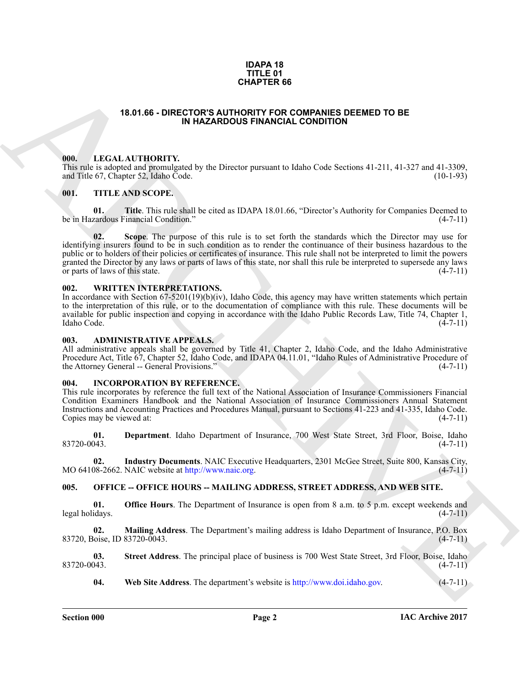#### **IDAPA 18 TITLE 01 CHAPTER 66**

#### **18.01.66 - DIRECTOR'S AUTHORITY FOR COMPANIES DEEMED TO BE IN HAZARDOUS FINANCIAL CONDITION**

#### <span id="page-1-1"></span><span id="page-1-0"></span>**000. LEGAL AUTHORITY.**

This rule is adopted and promulgated by the Director pursuant to Idaho Code Sections 41-211, 41-327 and 41-3309, and Title 67, Chapter 52, Idaho Code. (10-1-93) and Title 67, Chapter 52, Idaho Code.

#### <span id="page-1-2"></span>**001. TITLE AND SCOPE.**

**01. Title**. This rule shall be cited as IDAPA 18.01.66, "Director's Authority for Companies Deemed to cardous Financial Condition." (4-7-11) be in Hazardous Financial Condition."

**15.01.66 - DRECOTOR'S MANUES PERIOD MANUES DEEMED TO BE<br>
ARCHIVES IN MAZAROODS FRAMENCIA COMMITION<br>
16.1. IF AN ARCHIVES ARCHIVES AND MANUES ON THE CONSULTOR (15.1.2.1.1.1.1.2.7. and 11.4.1.37)<br>
16.1. IF AN ARCHIVES ARCH Scope**. The purpose of this rule is to set forth the standards which the Director may use for identifying insurers found to be in such condition as to render the continuance of their business hazardous to the public or to holders of their policies or certificates of insurance. This rule shall not be interpreted to limit the powers granted the Director by any laws or parts of laws of this state, nor shall this rule be interpreted to supersede any laws or parts of laws of this state. (4-7-11) or parts of laws of this state.

#### <span id="page-1-3"></span>**002. WRITTEN INTERPRETATIONS.**

In accordance with Section 67-5201(19)(b)(iv), Idaho Code, this agency may have written statements which pertain to the interpretation of this rule, or to the documentation of compliance with this rule. These documents will be available for public inspection and copying in accordance with the Idaho Public Records Law, Title 74, Chapter 1, Idaho Code. (4-7-11)

#### <span id="page-1-4"></span>**003. ADMINISTRATIVE APPEALS.**

All administrative appeals shall be governed by Title 41, Chapter 2, Idaho Code, and the Idaho Administrative Procedure Act, Title 67, Chapter 52, Idaho Code, and IDAPA 04.11.01, "Idaho Rules of Administrative Procedure of the Attorney General -- General Provisions." the Attorney General -- General Provisions."

#### <span id="page-1-5"></span>**004. INCORPORATION BY REFERENCE.**

This rule incorporates by reference the full text of the National Association of Insurance Commissioners Financial Condition Examiners Handbook and the National Association of Insurance Commissioners Annual Statement Instructions and Accounting Practices and Procedures Manual, pursuant to Sections 41-223 and 41-335, Idaho Code. Copies may be viewed at:

**01. Department**. Idaho Department of Insurance, 700 West State Street, 3rd Floor, Boise, Idaho  $83720-0043.$  (4-7-11)

**02.** Industry Documents. NAIC Executive Headquarters, 2301 McGee Street, Suite 800, Kansas City, 08-2662. NAIC website at http://www.naic.org. MO 64108-2662. NAIC website at http://www.naic.org.

#### <span id="page-1-6"></span>**005. OFFICE -- OFFICE HOURS -- MAILING ADDRESS, STREET ADDRESS, AND WEB SITE.**

**01. Office Hours**. The Department of Insurance is open from 8 a.m. to 5 p.m. except weekends and idays. (4-7-11) legal holidays.

**02. Mailing Address**. The Department's mailing address is Idaho Department of Insurance, P.O. Box 83720, Boise, ID 83720-0043.

**03. Street Address**. The principal place of business is 700 West State Street, 3rd Floor, Boise, Idaho 83720-0043. (4-7-11)

**04. Web Site Address**. The department's website is http://www.doi.idaho.gov. (4-7-11)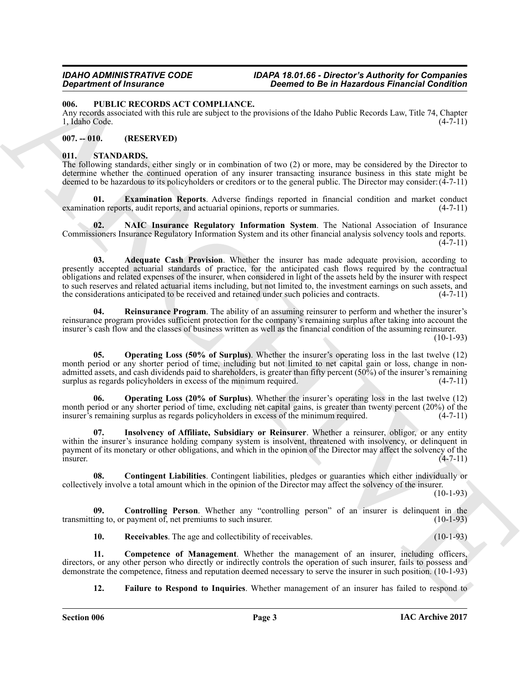#### <span id="page-2-0"></span>**006. PUBLIC RECORDS ACT COMPLIANCE.**

Any records associated with this rule are subject to the provisions of the Idaho Public Records Law, Title 74, Chapter 1, Idaho Code. (4-7-11) 1, Idaho Code.

### <span id="page-2-1"></span>**007. -- 010. (RESERVED)**

#### <span id="page-2-3"></span><span id="page-2-2"></span>**011. STANDARDS.**

The following standards, either singly or in combination of two (2) or more, may be considered by the Director to determine whether the continued operation of any insurer transacting insurance business in this state might be deemed to be hazardous to its policyholders or creditors or to the general public. The Director may consider:(4-7-11)

<span id="page-2-8"></span>**01. Examination Reports**. Adverse findings reported in financial condition and market conduct tion reports audit reports and actuarial opinions, reports or summaries. (4-7-11) examination reports, audit reports, and actuarial opinions, reports or summaries.

<span id="page-2-11"></span><span id="page-2-4"></span>**02. NAIC Insurance Regulatory Information System**. The National Association of Insurance Commissioners Insurance Regulatory Information System and its other financial analysis solvency tools and reports.  $(4 - 7 - 11)$ 

**Experimental Temperature Constraints of the Historical Constraint Constraint Constraint Constraint Constraint Constraint Constraint Constraint Constraint Constraint Constraint Constraint Constraint Constraint Constraint 03. Adequate Cash Provision**. Whether the insurer has made adequate provision, according to presently accepted actuarial standards of practice, for the anticipated cash flows required by the contractual obligations and related expenses of the insurer, when considered in light of the assets held by the insurer with respect to such reserves and related actuarial items including, but not limited to, the investment earnings on such assets, and<br>the considerations anticipated to be received and retained under such policies and contracts. (4-7-11) the considerations anticipated to be received and retained under such policies and contracts.

<span id="page-2-15"></span>**04. Reinsurance Program**. The ability of an assuming reinsurer to perform and whether the insurer's reinsurance program provides sufficient protection for the company's remaining surplus after taking into account the insurer's cash flow and the classes of business written as well as the financial condition of the assuming reinsurer. (10-1-93)

<span id="page-2-13"></span>**05. Operating Loss (50% of Surplus)**. Whether the insurer's operating loss in the last twelve (12) month period or any shorter period of time, including but not limited to net capital gain or loss, change in nonadmitted assets, and cash dividends paid to shareholders, is greater than fifty percent  $(50\%)$  of the insurer's remaining surplus as regards policyholders in excess of the minimum required. (4-7-11)

<span id="page-2-12"></span>**06. Operating Loss (20% of Surplus)**. Whether the insurer's operating loss in the last twelve (12) month period or any shorter period of time, excluding net capital gains, is greater than twenty percent (20%) of the insurer's remaining surplus as regards policyholders in excess of the minimum required. (4-7-11) insurer's remaining surplus as regards policyholders in excess of the minimum required.

<span id="page-2-10"></span>**07. Insolvency of Affiliate, Subsidiary or Reinsurer**. Whether a reinsurer, obligor, or any entity within the insurer's insurance holding company system is insolvent, threatened with insolvency, or delinquent in payment of its monetary or other obligations, and which in the opinion of the Director may affect the solvency of the insurer.  $\blacksquare$ insurer. (4-7-11)

<span id="page-2-6"></span>**08. Contingent Liabilities**. Contingent liabilities, pledges or guaranties which either individually or collectively involve a total amount which in the opinion of the Director may affect the solvency of the insurer.

(10-1-93)

**09.** Controlling Person. Whether any "controlling person" of an insurer is delinquent in the ing to, or payment of net premiums to such insurer. (10-1-93) transmitting to, or payment of, net premiums to such insurer.

<span id="page-2-14"></span><span id="page-2-7"></span><span id="page-2-5"></span>**10.** Receivables. The age and collectibility of receivables. (10-1-93)

**11. Competence of Management**. Whether the management of an insurer, including officers, directors, or any other person who directly or indirectly controls the operation of such insurer, fails to possess and demonstrate the competence, fitness and reputation deemed necessary to serve the insurer in such position. (10-1-93)

<span id="page-2-9"></span>**12. Failure to Respond to Inquiries**. Whether management of an insurer has failed to respond to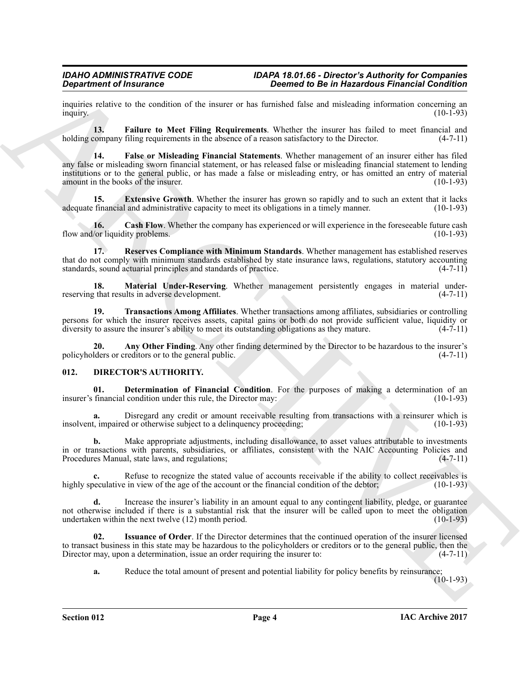inquiries relative to the condition of the insurer or has furnished false and misleading information concerning an inquiry. (10-1-93) inquiry.  $(10-1-93)$ 

<span id="page-3-8"></span><span id="page-3-7"></span>**13.** Failure to Meet Filing Requirements. Whether the insurer has failed to meet financial and company filing requirements in the absence of a reason satisfactory to the Director. (4-7-11) holding company filing requirements in the absence of a reason satisfactory to the Director.

**Signalize of financine C**<br> **Conserved to the ansatz of an elemental and conserved to the internal and conserved to the internal and material and<br>
meaning a BL balance to Meet Filing Requirements. Where the material and m 14. False or Misleading Financial Statements**. Whether management of an insurer either has filed any false or misleading sworn financial statement, or has released false or misleading financial statement to lending institutions or to the general public, or has made a false or misleading entry, or has omitted an entry of material amount in the books of the insurer. (10-1-93)

<span id="page-3-6"></span>**15. Extensive Growth**. Whether the insurer has grown so rapidly and to such an extent that it lacks financial and administrative capacity to meet its obligations in a timely manner. (10-1-93) adequate financial and administrative capacity to meet its obligations in a timely manner.

<span id="page-3-5"></span>**16. Cash Flow**. Whether the company has experienced or will experience in the foreseeable future cash /or liquidity problems. (10-1-93) flow and/or liquidity problems.

<span id="page-3-10"></span>**17. Reserves Compliance with Minimum Standards**. Whether management has established reserves that do not comply with minimum standards established by state insurance laws, regulations, statutory accounting standards, sound actuarial principles and standards of practice. (4-7-11) standards, sound actuarial principles and standards of practice.

<span id="page-3-9"></span>**18. Material Under-Reserving**. Whether management persistently engages in material under-<br>that results in adverse development. (4-7-11) reserving that results in adverse development.

<span id="page-3-11"></span>**19. Transactions Among Affiliates**. Whether transactions among affiliates, subsidiaries or controlling persons for which the insurer receives assets, capital gains or both do not provide sufficient value, liquidity or diversity to assure the insurer's ability to meet its outstanding obligations as they mature. (4-7-11) diversity to assure the insurer's ability to meet its outstanding obligations as they mature.

<span id="page-3-4"></span>**20. Any Other Finding**. Any other finding determined by the Director to be hazardous to the insurer's reditors or to the general public. policyholders or creditors or to the general public.

#### <span id="page-3-1"></span><span id="page-3-0"></span>**012. DIRECTOR'S AUTHORITY.**

<span id="page-3-2"></span>**01. Determination of Financial Condition**. For the purposes of making a determination of an financial condition under this rule, the Director may: (10-1-93) insurer's financial condition under this rule, the Director may:

**a.** Disregard any credit or amount receivable resulting from transactions with a reinsurer which is the interval or otherwise subject to a delinguency proceeding: (10-1-93) insolvent, impaired or otherwise subject to a delinquency proceeding;

**b.** Make appropriate adjustments, including disallowance, to asset values attributable to investments in or transactions with parents, subsidiaries, or affiliates, consistent with the NAIC Accounting Policies and Procedures Manual, state laws, and regulations; (4-7-11)

**c.** Refuse to recognize the stated value of accounts receivable if the ability to collect receivables is beculative in view of the age of the account or the financial condition of the debtor: (10-1-93) highly speculative in view of the age of the account or the financial condition of the debtor;

**d.** Increase the insurer's liability in an amount equal to any contingent liability, pledge, or guarantee not otherwise included if there is a substantial risk that the insurer will be called upon to meet the obligation undertaken within the next twelve (12) month period. (10-1-93) undertaken within the next twelve  $(12)$  month period.

**02. Issuance of Order**. If the Director determines that the continued operation of the insurer licensed to transact business in this state may be hazardous to the policyholders or creditors or to the general public, then the Director may, upon a determination, issue an order requiring the insurer to: (4-7-11) Director may, upon a determination, issue an order requiring the insurer to:

<span id="page-3-3"></span>**a.** Reduce the total amount of present and potential liability for policy benefits by reinsurance;

 $(10-1-93)$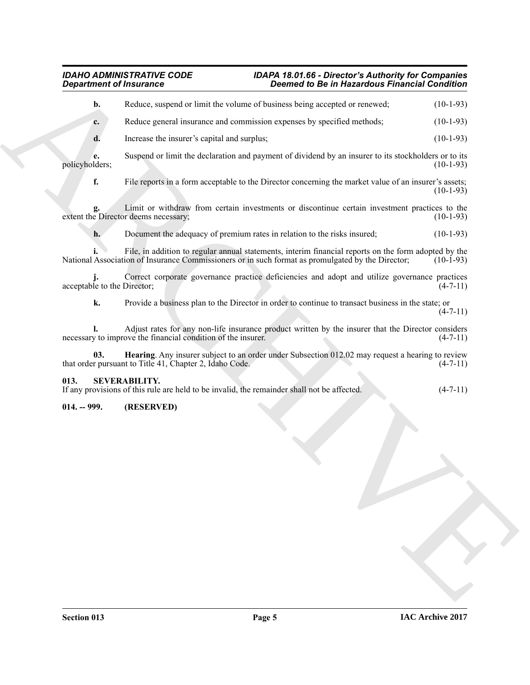#### *IDAHO ADMINISTRATIVE CODE IDAPA 18.01.66 - Director's Authority for Companies Department of Insurance Deemed to Be in Hazardous Financial Condition*

| <b>Department of Insurance</b> | <b>Deemed to Be in Hazardous Financial Condition</b>                                                                                                                                                      |                |
|--------------------------------|-----------------------------------------------------------------------------------------------------------------------------------------------------------------------------------------------------------|----------------|
| b.                             | Reduce, suspend or limit the volume of business being accepted or renewed;                                                                                                                                | $(10-1-93)$    |
| c.                             | Reduce general insurance and commission expenses by specified methods;                                                                                                                                    | $(10-1-93)$    |
| d.                             | Increase the insurer's capital and surplus;                                                                                                                                                               | $(10-1-93)$    |
| e.<br>policyholders;           | Suspend or limit the declaration and payment of dividend by an insurer to its stockholders or to its                                                                                                      | $(10-1-93)$    |
| f.                             | File reports in a form acceptable to the Director concerning the market value of an insurer's assets;                                                                                                     | $(10-1-93)$    |
| g.                             | Limit or withdraw from certain investments or discontinue certain investment practices to the<br>extent the Director deems necessary;                                                                     | $(10-1-93)$    |
| h.                             | Document the adequacy of premium rates in relation to the risks insured;                                                                                                                                  | $(10-1-93)$    |
|                                | File, in addition to regular annual statements, interim financial reports on the form adopted by the<br>National Association of Insurance Commissioners or in such format as promulgated by the Director; | $(10-1-93)$    |
| acceptable to the Director;    | Correct corporate governance practice deficiencies and adopt and utilize governance practices                                                                                                             | $(4-7-11)$     |
| k.                             | Provide a business plan to the Director in order to continue to transact business in the state; or                                                                                                        | $(4-7-11)$     |
|                                | Adjust rates for any non-life insurance product written by the insurer that the Director considers<br>necessary to improve the financial condition of the insurer.                                        | $(4-7-11)$     |
| 03.                            | Hearing. Any insurer subject to an order under Subsection 012.02 may request a hearing to review<br>that order pursuant to Title 41, Chapter 2, Idaho Code.                                               | $(4-7-11)$     |
| 013.                           | <b>SEVERABILITY.</b><br>If any provisions of this rule are held to be invalid, the remainder shall not be affected.                                                                                       | $(4 - 7 - 11)$ |
| $014. - 999.$                  | (RESERVED)                                                                                                                                                                                                |                |
|                                |                                                                                                                                                                                                           |                |
|                                |                                                                                                                                                                                                           |                |
|                                |                                                                                                                                                                                                           |                |
|                                |                                                                                                                                                                                                           |                |
|                                |                                                                                                                                                                                                           |                |
|                                |                                                                                                                                                                                                           |                |

### <span id="page-4-2"></span><span id="page-4-0"></span>**013. SEVERABILITY.**

## <span id="page-4-1"></span>**014. -- 999. (RESERVED)**